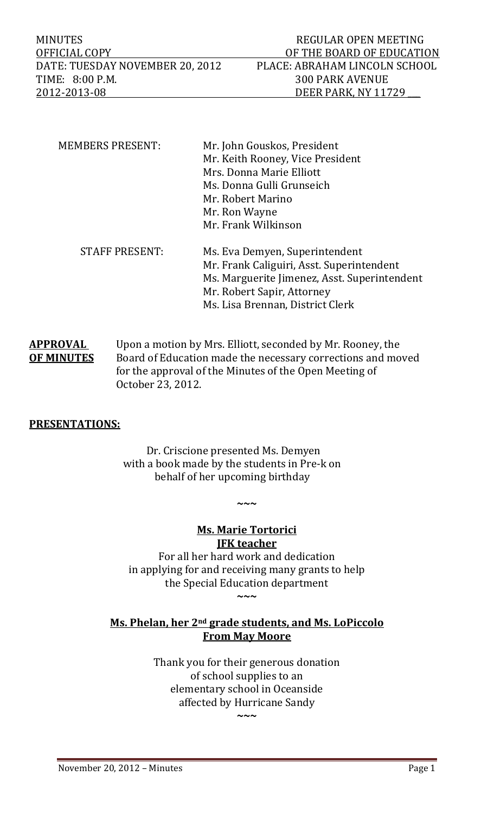MINUTES NEGULAR OPEN MEETING OFFICIAL COPY DE THE BOARD OF EDUCATION DATE: TUESDAY NOVEMBER 20, 2012 PLACE: ABRAHAM LINCOLN SCHOOL TIME: 8:00 P.M. 2012‐2013‐08 DEER PARK, NY 11729 \_\_\_ 

| <b>MEMBERS PRESENT:</b> | Mr. John Gouskos, President                  |  |  |
|-------------------------|----------------------------------------------|--|--|
|                         | Mr. Keith Rooney, Vice President             |  |  |
|                         | Mrs. Donna Marie Elliott                     |  |  |
|                         | Ms. Donna Gulli Grunseich                    |  |  |
|                         | Mr. Robert Marino                            |  |  |
|                         | Mr. Ron Wayne                                |  |  |
|                         | Mr. Frank Wilkinson                          |  |  |
| <b>STAFF PRESENT:</b>   | Ms. Eva Demyen, Superintendent               |  |  |
|                         | Mr. Frank Caliguiri, Asst. Superintendent    |  |  |
|                         | Ms. Marguerite Jimenez, Asst. Superintendent |  |  |
|                         | Mr. Robert Sapir, Attorney                   |  |  |
|                         | Ms. Lisa Brennan, District Clerk             |  |  |

**APPROVAL** Upon a motion by Mrs. Elliott, seconded by Mr. Rooney, the **OF MINUTES** Board of Education made the necessary corrections and moved for the approval of the Minutes of the Open Meeting of  October 23, 2012. 

# **PRESENTATIONS:**

Dr. Criscione presented Ms. Demyen with a book made by the students in Pre-k on behalf of her upcoming birthday

### **Ms. Marie Tortorici JFK teacher**

**~~~**

For all her hard work and dedication in applying for and receiving many grants to help the Special Education department **~~~**

# **Ms. Phelan, her 2nd grade students, and Ms. LoPiccolo From May Moore**

Thank you for their generous donation of school supplies to an elementary school in Oceanside affected by Hurricane Sandy

**~~~**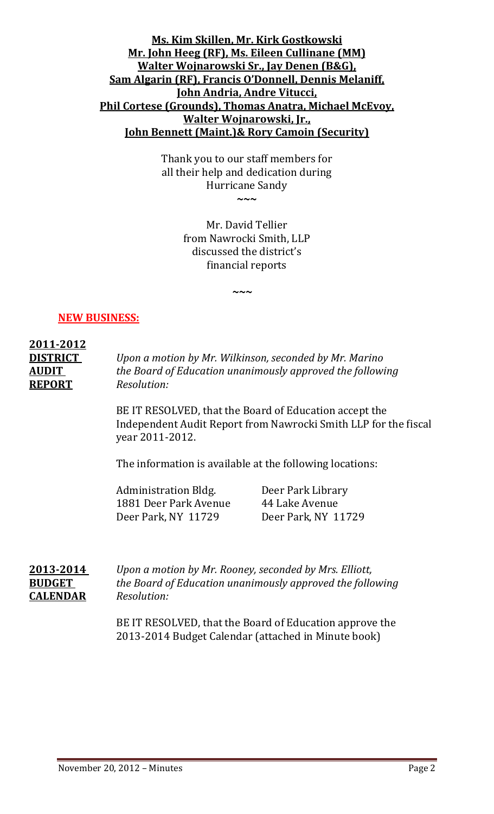# **Ms. Kim Skillen, Mr. Kirk Gostkowski Mr. John Heeg (RF), Ms. Eileen Cullinane (MM) Walter Wojnarowski Sr., Jay Denen (B&G), Sam Algarin (RF), Francis O'Donnell, Dennis Melaniff, John Andria, Andre Vitucci, Phil Cortese (Grounds), Thomas Anatra, Michael McEvoy, Walter Wojnarowski, Jr., John Bennett (Maint.)& Rory Camoin (Security)**

Thank you to our staff members for all their help and dedication during Hurricane Sandy

**~~~**

Mr. David Tellier from Nawrocki Smith, LLP discussed the district's financial reports 

**~**~~~~~~~~~~~~~~

# **NEW BUSINESS:**

# **2011‐2012 DISTRICT**  *Upon a motion by Mr. Wilkinson, seconded by Mr. Marino* **AUDIT**  *the Board of Education unanimously approved the following* **REPORT** *Resolution:*

BE IT RESOLVED, that the Board of Education accept the Independent Audit Report from Nawrocki Smith LLP for the fiscal year 2011‐2012. 

The information is available at the following locations:

Administration Bldg. Deer Park Library 1881 Deer Park Avenue 44 Lake Avenue Deer Park, NY 11729 Deer Park, NY 11729

**2013‐2014**  *Upon a motion by Mr. Rooney, seconded by Mrs. Elliott,* **BUDGET**  *the Board of Education unanimously approved the following* **CALENDAR** *Resolution:*

> BE IT RESOLVED, that the Board of Education approve the 2013-2014 Budget Calendar (attached in Minute book)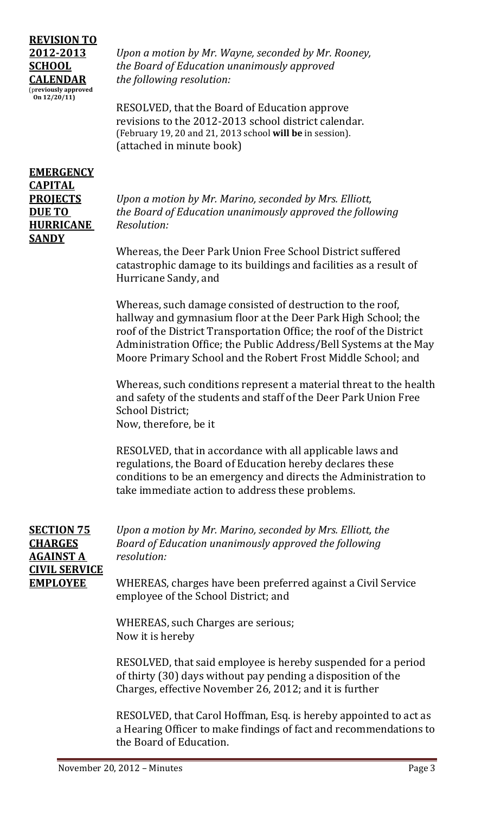# **REVISION TO** (p**reviously approved On 12/20/11)**

**2012‐2013** *Upon a motion by Mr. Wayne, seconded by Mr. Rooney,*  **SCHOOL** *the Board of Education unanimously approved* **CALENDAR** *the following resolution:*

> RESOLVED, that the Board of Education approve revisions to the 2012-2013 school district calendar. (February 19, 20 and 21, 2013 school will be in session). (attached in minute book)

# **EMERGENCY CAPITAL HURRICANE** *Resolution:* **SANDY**

**PROJECTS** *Upon a motion by Mr. Marino, seconded by Mrs. Elliott,* **DUE TO**  *the Board of Education unanimously approved the following*

> Whereas, the Deer Park Union Free School District suffered catastrophic damage to its buildings and facilities as a result of Hurricane Sandy, and

Whereas, such damage consisted of destruction to the roof, hallway and gymnasium floor at the Deer Park High School; the roof of the District Transportation Office; the roof of the District Administration Office; the Public Address/Bell Systems at the May Moore Primary School and the Robert Frost Middle School; and

Whereas, such conditions represent a material threat to the health and safety of the students and staff of the Deer Park Union Free School District; Now, therefore, be it

RESOLVED, that in accordance with all applicable laws and regulations, the Board of Education hereby declares these conditions to be an emergency and directs the Administration to take immediate action to address these problems.

| <b>SECTION 75</b>    | Upon a motion by Mr. Marino, seconded by Mrs. Elliott, the   |
|----------------------|--------------------------------------------------------------|
| <b>CHARGES</b>       | Board of Education unanimously approved the following        |
| <b>AGAINST A</b>     | resolution:                                                  |
| <b>CIVIL SERVICE</b> |                                                              |
| <b>EMPLOYEE</b>      | WHEREAS, charges have been preferred against a Civil Service |
|                      | employee of the School District; and                         |

WHEREAS, such Charges are serious; Now it is hereby

RESOLVED, that said employee is hereby suspended for a period of thirty (30) days without pay pending a disposition of the Charges, effective November 26, 2012; and it is further

RESOLVED, that Carol Hoffman, Esq. is hereby appointed to act as a Hearing Officer to make findings of fact and recommendations to the Board of Education.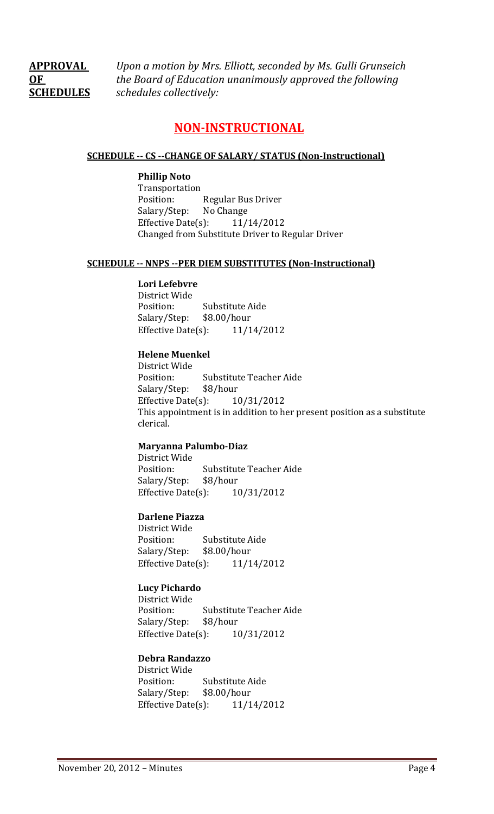**APPROVAL** *Upon a motion by Mrs. Elliott, seconded by Ms. Gulli Grunseich*  **OF**  *the Board of Education unanimously approved the following* **SCHEDULES** *schedules collectively:*

# **NON‐INSTRUCTIONAL**

### **SCHEDULE ‐‐ CS ‐‐CHANGE OF SALARY/ STATUS (Non‐Instructional)**

### **Phillip Noto**

 Transportation Position: Regular Bus Driver Salary/Step: No Change Effective Date $(s)$ : 11/14/2012 Changed from Substitute Driver to Regular Driver

#### **SCHEDULE ‐‐ NNPS ‐‐PER DIEM SUBSTITUTES (Non‐Instructional)**

#### **Lori Lefebvre**

District Wide Position: Substitute Aide Salary/Step: \$8.00/hour Effective Date $(s)$ : 11/14/2012

### **Helene Muenkel**

District Wide Position: Substitute Teacher Aide Salary/Step: \$8/hour Effective Date $(s)$ :  $10/31/2012$ This appointment is in addition to her present position as a substitute clerical. 

### **Maryanna Palumbo‐Diaz**

District Wide Position: Substitute Teacher Aide Salary/Step: \$8/hour Effective Date $(s)$ :  $10/31/2012$ 

### **Darlene Piazza**

District Wide Position: Substitute Aide Salary/Step: \$8.00/hour Effective Date(s):  $11/14/2012$ 

### **Lucy Pichardo**

District Wide Position: Substitute Teacher Aide Salary/Step: \$8/hour Effective Date $(s)$ :  $10/31/2012$ 

### **Debra Randazzo**

District Wide Position: Substitute Aide Salary/Step: \$8.00/hour Effective Date $(s)$ : 11/14/2012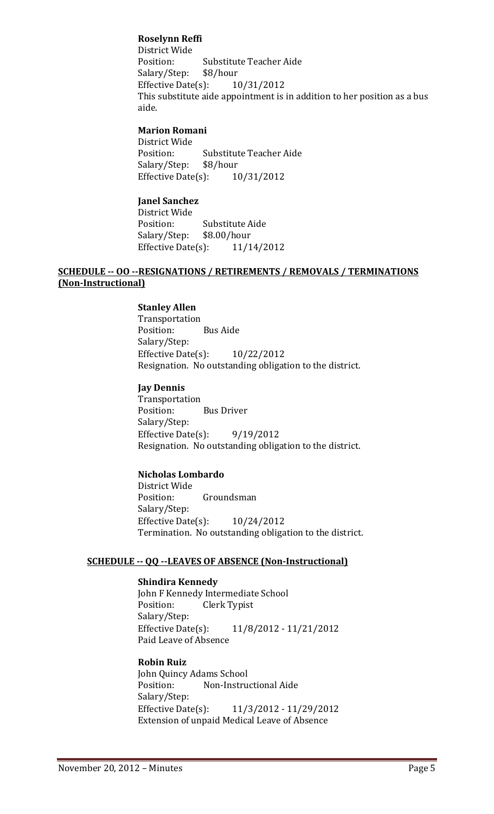### **Roselynn Reffi**

District Wide Position: Substitute Teacher Aide Salary/Step: \$8/hour Effective Date $(s)$ :  $10/31/2012$ This substitute aide appointment is in addition to her position as a bus aide. 

### **Marion Romani**

District Wide Position: Substitute Teacher Aide Salary/Step: \$8/hour Effective Date $(s)$ :  $10/31/2012$ 

### **Janel Sanchez**

District Wide Position: Substitute Aide Salary/Step: \$8.00/hour Effective Date $(s)$ : 11/14/2012

### **SCHEDULE ‐‐ OO ‐‐RESIGNATIONS / RETIREMENTS / REMOVALS / TERMINATIONS (Non‐Instructional)**

### **Stanley Allen**

 Transportation Position: Bus Aide Salary/Step: Effective Date $(s)$ :  $10/22/2012$ Resignation. No outstanding obligation to the district.

### **Jay Dennis**

 Transportation Position: Bus Driver Salary/Step: Effective Date(s):  $9/19/2012$ Resignation. No outstanding obligation to the district.

### **Nicholas Lombardo**

District Wide Position: Groundsman Salary/Step: Effective Date $(s)$ :  $10/24/2012$ Termination. No outstanding obligation to the district.

### **SCHEDULE ‐‐ QQ ‐‐LEAVES OF ABSENCE (Non‐Instructional)**

### **Shindira Kennedy**

John F Kennedy Intermediate School Position: Clerk Typist Salary/Step: Effective Date(s):  $11/8/2012 - 11/21/2012$ Paid Leave of Absence

# **Robin Ruiz**

John Quincy Adams School Position: Non-Instructional Aide Salary/Step: Effective Date(s):  $11/3/2012 - 11/29/2012$ Extension of unpaid Medical Leave of Absence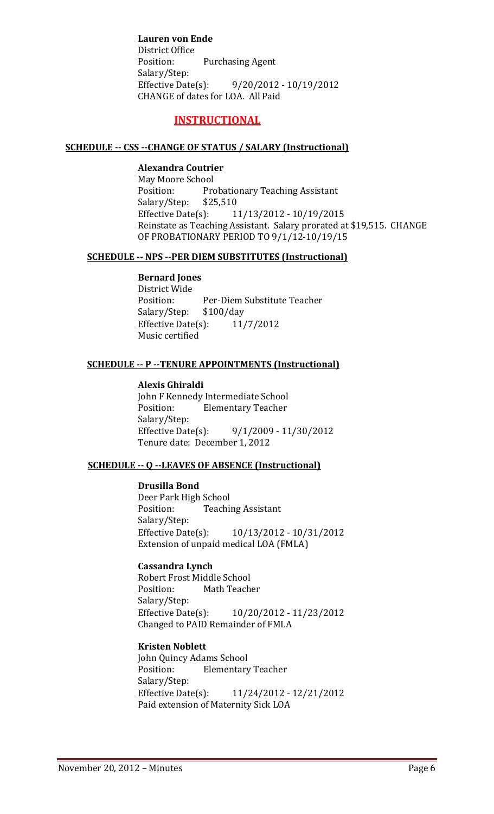**Lauren von Ende** District Office Position: Purchasing Agent Salary/Step: Effective Date(s):  $9/20/2012 - 10/19/2012$ CHANGE of dates for LOA. All Paid

# **INSTRUCTIONAL**

### **SCHEDULE ‐‐ CSS ‐‐CHANGE OF STATUS / SALARY (Instructional)**

### **Alexandra Coutrier**

May Moore School Position: Probationary Teaching Assistant Salary/Step: \$25,510 Effective Date(s):  $11/13/2012 - 10/19/2015$ Reinstate as Teaching Assistant. Salary prorated at \$19,515. CHANGE OF PROBATIONARY PERIOD TO 9/1/12-10/19/15

### **SCHEDULE ‐‐ NPS ‐‐PER DIEM SUBSTITUTES (Instructional)**

### **Bernard Jones**

District Wide Position: Per-Diem Substitute Teacher Salary/Step: \$100/day Effective Date $(s)$ : 11/7/2012 Music certified

### **SCHEDULE ‐‐ P ‐‐TENURE APPOINTMENTS (Instructional)**

### **Alexis Ghiraldi**

John F Kennedy Intermediate School Position: Elementary Teacher Salary/Step: Effective Date(s):  $9/1/2009 - 11/30/2012$ Tenure date: December 1, 2012

### **SCHEDULE** -- **O** --LEAVES OF ABSENCE (Instructional)

### **Drusilla Bond**

Deer Park High School Position: Teaching Assistant Salary/Step: Effective Date(s):  $10/13/2012 - 10/31/2012$ Extension of unpaid medical LOA (FMLA)

### **Cassandra Lynch**

Robert Frost Middle School Position: Math Teacher Salary/Step: Effective Date(s):  $10/20/2012 - 11/23/2012$ Changed to PAID Remainder of FMLA

### **Kristen Noblett**

John Quincy Adams School Position: Elementary Teacher Salary/Step: Effective Date(s): 11/24/2012 - 12/21/2012 Paid extension of Maternity Sick LOA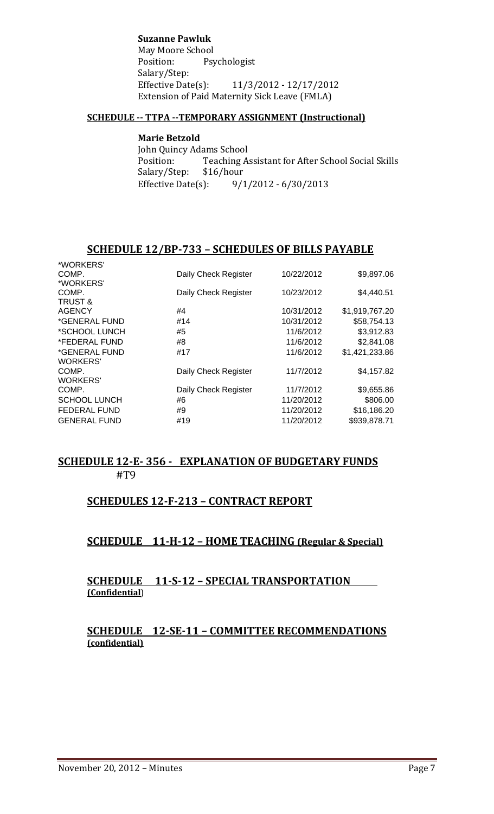**Suzanne Pawluk**

May Moore School Position: Psychologist Salary/Step: Effective Date(s):  $11/3/2012 - 12/17/2012$ Extension of Paid Maternity Sick Leave (FMLA)

### **SCHEDULE ‐‐ TTPA ‐‐TEMPORARY ASSIGNMENT (Instructional)**

### **Marie Betzold**

John Quincy Adams School Position: Teaching Assistant for After School Social Skills Salary/Step: \$16/hour Effective Date(s):  $9/1/2012 - 6/30/2013$ 

# **SCHEDULE 12/BP‐733 – SCHEDULES OF BILLS PAYABLE**

| Daily Check Register | 10/22/2012 | \$9,897.06     |
|----------------------|------------|----------------|
|                      |            |                |
| Daily Check Register | 10/23/2012 | \$4,440.51     |
|                      |            |                |
| #4                   | 10/31/2012 | \$1,919,767.20 |
| #14                  | 10/31/2012 | \$58,754.13    |
| #5                   | 11/6/2012  | \$3,912.83     |
| #8                   | 11/6/2012  | \$2,841.08     |
| #17                  | 11/6/2012  | \$1,421,233.86 |
|                      |            |                |
| Daily Check Register | 11/7/2012  | \$4,157.82     |
|                      |            |                |
| Daily Check Register | 11/7/2012  | \$9,655.86     |
| #6                   | 11/20/2012 | \$806.00       |
| #9                   | 11/20/2012 | \$16,186.20    |
| #19                  | 11/20/2012 | \$939,878.71   |
|                      |            |                |

# **SCHEDULE 12‐E‐ 356 ‐ EXPLANATION OF BUDGETARY FUNDS** #T9

# **SCHEDULES 12‐F‐213 – CONTRACT REPORT**

# **SCHEDULE 11‐H‐12 – HOME TEACHING (Regular & Special)**

# **SCHEDULE 11‐S‐12 – SPECIAL TRANSPORTATION (Confidential**)

# **SCHEDULE 12‐SE‐11 – COMMITTEE RECOMMENDATIONS (confidential)**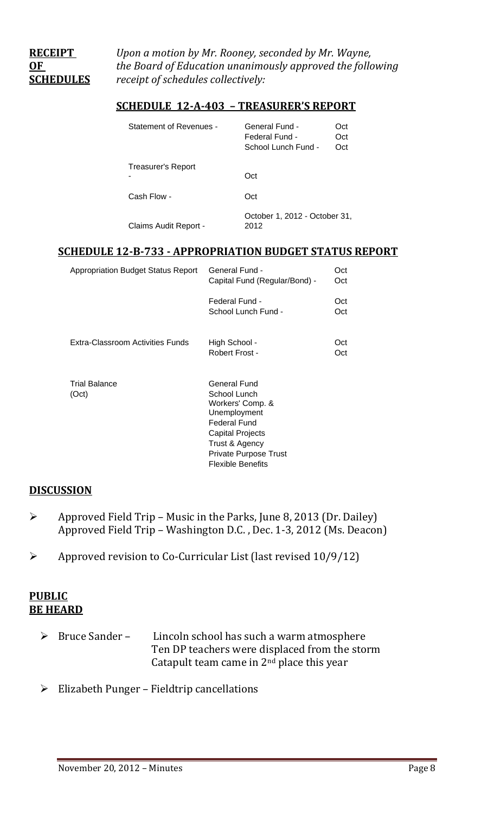**RECEIPT**  *Upon a motion by Mr. Rooney, seconded by Mr. Wayne,* **OF**  *the Board of Education unanimously approved the following* **SCHEDULES** *receipt of schedules collectively:*

### **SCHEDULE 12‐A‐403 – TREASURER'S REPORT**

| Statement of Revenues - | General Fund -<br>Federal Fund -<br>School Lunch Fund - | Oct<br>Oct<br>Oct |
|-------------------------|---------------------------------------------------------|-------------------|
| Treasurer's Report      | Oct                                                     |                   |
| Cash Flow -             | Oct                                                     |                   |
| Claims Audit Report -   | October 1, 2012 - October 31,<br>2012                   |                   |

# **SCHEDULE 12‐B‐733 ‐ APPROPRIATION BUDGET STATUS REPORT**

Workers' Comp. & Unemployment Federal Fund Capital Projects Trust & Agency Private Purpose Trust Flexible Benefits

| <b>Appropriation Budget Status Report</b> | General Fund -<br>Capital Fund (Regular/Bond) - | Oct<br>Oct |
|-------------------------------------------|-------------------------------------------------|------------|
|                                           | Federal Fund -<br>School Lunch Fund -           | Oct<br>Oct |
| Extra-Classroom Activities Funds          | High School -<br>Robert Frost -                 | Oct<br>Oct |
| <b>Trial Balance</b><br>(Oct)             | General Fund<br>School Lunch                    |            |

# **DISCUSSION**

- $\triangleright$  Approved Field Trip Music in the Parks, June 8, 2013 (Dr. Dailey) Approved Field Trip – Washington D.C., Dec. 1-3, 2012 (Ms. Deacon)
- $\triangleright$  Approved revision to Co-Curricular List (last revised 10/9/12)

# **PUBLIC BE HEARD**

- $\triangleright$  Bruce Sander Lincoln school has such a warm atmosphere Ten DP teachers were displaced from the storm Catapult team came in  $2<sup>nd</sup>$  place this year
- $\triangleright$  Elizabeth Punger Fieldtrip cancellations